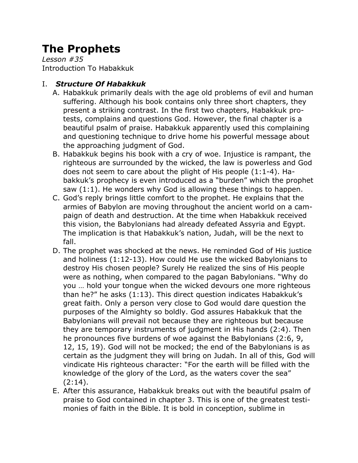# **The Prophets**

*Lesson #35* Introduction To Habakkuk

### I. *Structure Of Habakkuk*

- A. Habakkuk primarily deals with the age old problems of evil and human suffering. Although his book contains only three short chapters, they present a striking contrast. In the first two chapters, Habakkuk protests, complains and questions God. However, the final chapter is a beautiful psalm of praise. Habakkuk apparently used this complaining and questioning technique to drive home his powerful message about the approaching judgment of God.
- B. Habakkuk begins his book with a cry of woe. Injustice is rampant, the righteous are surrounded by the wicked, the law is powerless and God does not seem to care about the plight of His people (1:1-4). Habakkuk's prophecy is even introduced as a "burden" which the prophet saw (1:1). He wonders why God is allowing these things to happen.
- C. God's reply brings little comfort to the prophet. He explains that the armies of Babylon are moving throughout the ancient world on a campaign of death and destruction. At the time when Habakkuk received this vision, the Babylonians had already defeated Assyria and Egypt. The implication is that Habakkuk's nation, Judah, will be the next to fall.
- D. The prophet was shocked at the news. He reminded God of His justice and holiness (1:12-13). How could He use the wicked Babylonians to destroy His chosen people? Surely He realized the sins of His people were as nothing, when compared to the pagan Babylonians. "Why do you … hold your tongue when the wicked devours one more righteous than he?" he asks (1:13). This direct question indicates Habakkuk's great faith. Only a person very close to God would dare question the purposes of the Almighty so boldly. God assures Habakkuk that the Babylonians will prevail not because they are righteous but because they are temporary instruments of judgment in His hands (2:4). Then he pronounces five burdens of woe against the Babylonians (2:6, 9, 12, 15, 19). God will not be mocked; the end of the Babylonians is as certain as the judgment they will bring on Judah. In all of this, God will vindicate His righteous character: "For the earth will be filled with the knowledge of the glory of the Lord, as the waters cover the sea" (2:14).
- E. After this assurance, Habakkuk breaks out with the beautiful psalm of praise to God contained in chapter 3. This is one of the greatest testimonies of faith in the Bible. It is bold in conception, sublime in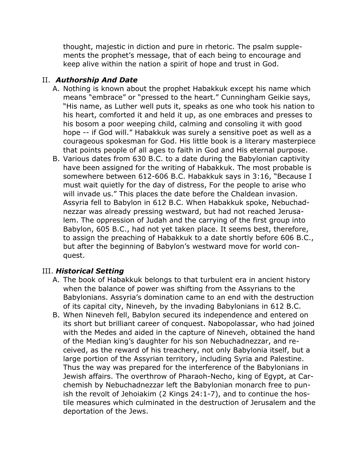thought, majestic in diction and pure in rhetoric. The psalm supplements the prophet's message, that of each being to encourage and keep alive within the nation a spirit of hope and trust in God.

## II. *Authorship And Date*

- A. Nothing is known about the prophet Habakkuk except his name which means "embrace" or "pressed to the heart." Cunningham Geikie says, "His name, as Luther well puts it, speaks as one who took his nation to his heart, comforted it and held it up, as one embraces and presses to his bosom a poor weeping child, calming and consoling it with good hope -- if God will." Habakkuk was surely a sensitive poet as well as a courageous spokesman for God. His little book is a literary masterpiece that points people of all ages to faith in God and His eternal purpose.
- B. Various dates from 630 B.C. to a date during the Babylonian captivity have been assigned for the writing of Habakkuk. The most probable is somewhere between 612-606 B.C. Habakkuk says in 3:16, "Because I must wait quietly for the day of distress, For the people to arise who will invade us." This places the date before the Chaldean invasion. Assyria fell to Babylon in 612 B.C. When Habakkuk spoke, Nebuchadnezzar was already pressing westward, but had not reached Jerusalem. The oppression of Judah and the carrying of the first group into Babylon, 605 B.C., had not yet taken place. It seems best, therefore, to assign the preaching of Habakkuk to a date shortly before 606 B.C., but after the beginning of Babylon's westward move for world conquest.

#### III. *Historical Setting*

- A. The book of Habakkuk belongs to that turbulent era in ancient history when the balance of power was shifting from the Assyrians to the Babylonians. Assyria's domination came to an end with the destruction of its capital city, Nineveh, by the invading Babylonians in 612 B.C.
- B. When Nineveh fell, Babylon secured its independence and entered on its short but brilliant career of conquest. Nabopolassar, who had joined with the Medes and aided in the capture of Nineveh, obtained the hand of the Median king's daughter for his son Nebuchadnezzar, and received, as the reward of his treachery, not only Babylonia itself, but a large portion of the Assyrian territory, including Syria and Palestine. Thus the way was prepared for the interference of the Babylonians in Jewish affairs. The overthrow of Pharaoh-Necho, king of Egypt, at Carchemish by Nebuchadnezzar left the Babylonian monarch free to punish the revolt of Jehoiakim (2 Kings 24:1-7), and to continue the hostile measures which culminated in the destruction of Jerusalem and the deportation of the Jews.